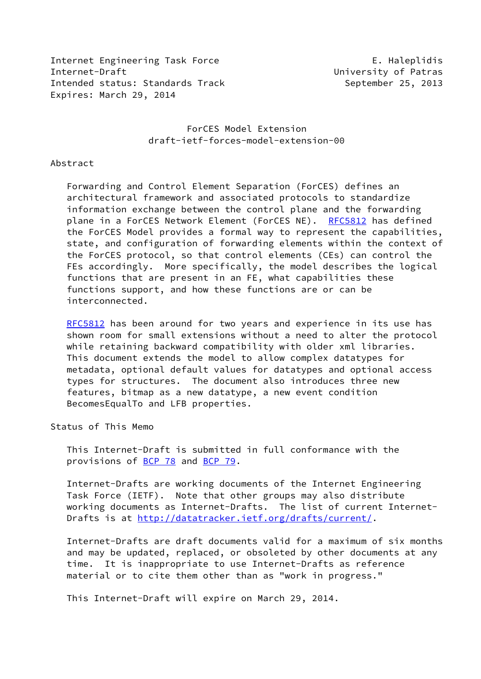Internet Engineering Task Force The E. Haleplidis Internet-Draft University of Patras Intended status: Standards Track September 25, 2013 Expires: March 29, 2014

## ForCES Model Extension draft-ietf-forces-model-extension-00

#### Abstract

 Forwarding and Control Element Separation (ForCES) defines an architectural framework and associated protocols to standardize information exchange between the control plane and the forwarding plane in a ForCES Network Element (ForCES NE). [RFC5812](https://datatracker.ietf.org/doc/pdf/rfc5812) has defined the ForCES Model provides a formal way to represent the capabilities, state, and configuration of forwarding elements within the context of the ForCES protocol, so that control elements (CEs) can control the FEs accordingly. More specifically, the model describes the logical functions that are present in an FE, what capabilities these functions support, and how these functions are or can be interconnected.

[RFC5812](https://datatracker.ietf.org/doc/pdf/rfc5812) has been around for two years and experience in its use has shown room for small extensions without a need to alter the protocol while retaining backward compatibility with older xml libraries. This document extends the model to allow complex datatypes for metadata, optional default values for datatypes and optional access types for structures. The document also introduces three new features, bitmap as a new datatype, a new event condition BecomesEqualTo and LFB properties.

Status of This Memo

 This Internet-Draft is submitted in full conformance with the provisions of [BCP 78](https://datatracker.ietf.org/doc/pdf/bcp78) and [BCP 79](https://datatracker.ietf.org/doc/pdf/bcp79).

 Internet-Drafts are working documents of the Internet Engineering Task Force (IETF). Note that other groups may also distribute working documents as Internet-Drafts. The list of current Internet Drafts is at<http://datatracker.ietf.org/drafts/current/>.

 Internet-Drafts are draft documents valid for a maximum of six months and may be updated, replaced, or obsoleted by other documents at any time. It is inappropriate to use Internet-Drafts as reference material or to cite them other than as "work in progress."

This Internet-Draft will expire on March 29, 2014.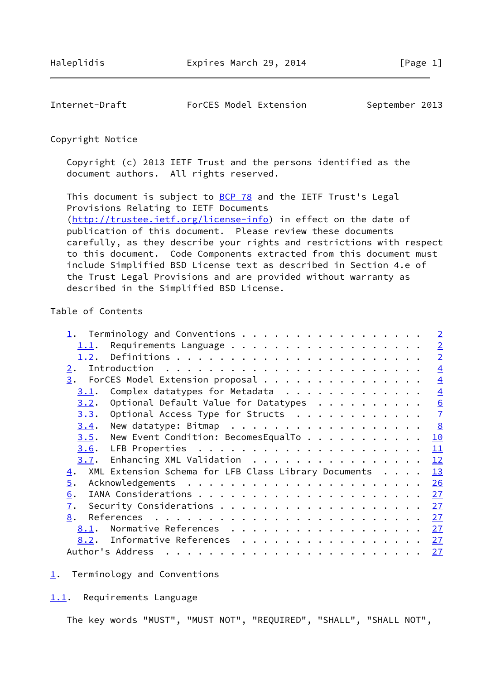<span id="page-1-1"></span>Internet-Draft ForCES Model Extension September 2013

Copyright Notice

 Copyright (c) 2013 IETF Trust and the persons identified as the document authors. All rights reserved.

This document is subject to **[BCP 78](https://datatracker.ietf.org/doc/pdf/bcp78)** and the IETF Trust's Legal Provisions Relating to IETF Documents [\(http://trustee.ietf.org/license-info](http://trustee.ietf.org/license-info)) in effect on the date of publication of this document. Please review these documents carefully, as they describe your rights and restrictions with respect to this document. Code Components extracted from this document must include Simplified BSD License text as described in Section 4.e of the Trust Legal Provisions and are provided without warranty as described in the Simplified BSD License.

## Table of Contents

| 1. Terminology and Conventions                             |  | $\overline{2}$  |
|------------------------------------------------------------|--|-----------------|
| <u>1.1</u> .                                               |  | $\overline{2}$  |
| 1.2.                                                       |  | $\overline{2}$  |
| 2.                                                         |  | $\overline{4}$  |
| ForCES Model Extension proposal<br>3.                      |  | $\overline{4}$  |
| Complex datatypes for Metadata<br>3.1.                     |  | $\overline{4}$  |
| Optional Default Value for Datatypes<br>3.2.               |  | $\underline{6}$ |
| Optional Access Type for Structs<br>3.3.                   |  | $\overline{1}$  |
| New datatype: Bitmap<br>3.4.                               |  | 8               |
| New Event Condition: BecomesEqualTo<br>3.5.                |  | 10              |
| 3.6.                                                       |  | 11              |
| Enhancing XML Validation<br>3.7.                           |  | 12              |
| XML Extension Schema for LFB Class Library Documents<br>4. |  | 13              |
| 5.                                                         |  | 26              |
| 6.                                                         |  | 27              |
| 7.                                                         |  | 27              |
| 8.                                                         |  | 27              |
| Normative References<br>8.1.                               |  | 27              |
| Informative References<br>8.2.                             |  | <u>27</u>       |
| Author's Address                                           |  | <u>27</u>       |

<span id="page-1-0"></span>[1](#page-1-0). Terminology and Conventions

<span id="page-1-2"></span>[1.1](#page-1-2). Requirements Language

The key words "MUST", "MUST NOT", "REQUIRED", "SHALL", "SHALL NOT",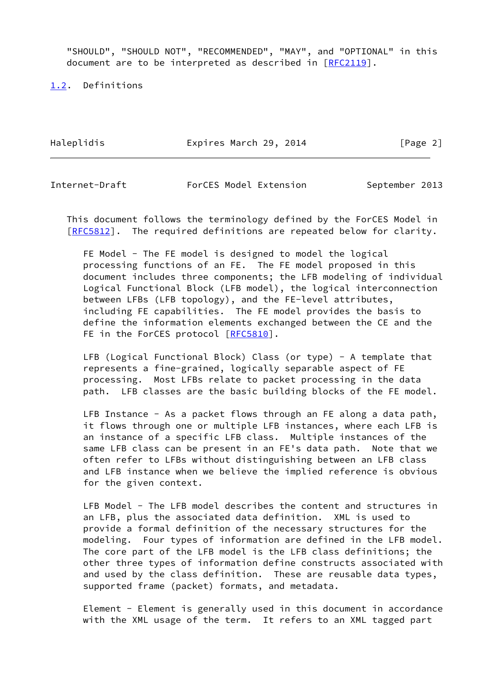"SHOULD", "SHOULD NOT", "RECOMMENDED", "MAY", and "OPTIONAL" in this document are to be interpreted as described in [\[RFC2119](https://datatracker.ietf.org/doc/pdf/rfc2119)].

<span id="page-2-0"></span>[1.2](#page-2-0). Definitions

Haleplidis **Expires March 29, 2014** [Page 2]

Internet-Draft ForCES Model Extension September 2013

 This document follows the terminology defined by the ForCES Model in [\[RFC5812](https://datatracker.ietf.org/doc/pdf/rfc5812)]. The required definitions are repeated below for clarity.

 FE Model - The FE model is designed to model the logical processing functions of an FE. The FE model proposed in this document includes three components; the LFB modeling of individual Logical Functional Block (LFB model), the logical interconnection between LFBs (LFB topology), and the FE-level attributes, including FE capabilities. The FE model provides the basis to define the information elements exchanged between the CE and the FE in the ForCES protocol [\[RFC5810](https://datatracker.ietf.org/doc/pdf/rfc5810)].

 LFB (Logical Functional Block) Class (or type) - A template that represents a fine-grained, logically separable aspect of FE processing. Most LFBs relate to packet processing in the data path. LFB classes are the basic building blocks of the FE model.

LFB Instance - As a packet flows through an FE along a data path, it flows through one or multiple LFB instances, where each LFB is an instance of a specific LFB class. Multiple instances of the same LFB class can be present in an FE's data path. Note that we often refer to LFBs without distinguishing between an LFB class and LFB instance when we believe the implied reference is obvious for the given context.

 LFB Model - The LFB model describes the content and structures in an LFB, plus the associated data definition. XML is used to provide a formal definition of the necessary structures for the modeling. Four types of information are defined in the LFB model. The core part of the LFB model is the LFB class definitions; the other three types of information define constructs associated with and used by the class definition. These are reusable data types, supported frame (packet) formats, and metadata.

 Element - Element is generally used in this document in accordance with the XML usage of the term. It refers to an XML tagged part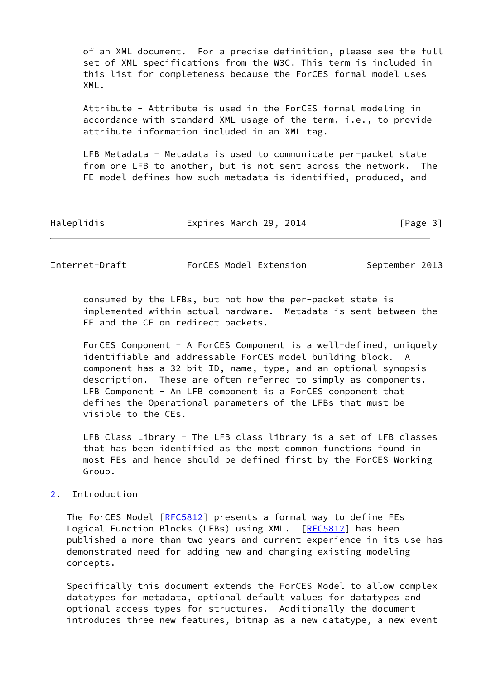of an XML document. For a precise definition, please see the full set of XML specifications from the W3C. This term is included in this list for completeness because the ForCES formal model uses XML.

 Attribute - Attribute is used in the ForCES formal modeling in accordance with standard XML usage of the term, i.e., to provide attribute information included in an XML tag.

LFB Metadata - Metadata is used to communicate per-packet state from one LFB to another, but is not sent across the network. The FE model defines how such metadata is identified, produced, and

| Haleplidis | Expires March 29, 2014 | [Page 3] |
|------------|------------------------|----------|
|------------|------------------------|----------|

<span id="page-3-1"></span>Internet-Draft ForCES Model Extension September 2013

 consumed by the LFBs, but not how the per-packet state is implemented within actual hardware. Metadata is sent between the FE and the CE on redirect packets.

 ForCES Component - A ForCES Component is a well-defined, uniquely identifiable and addressable ForCES model building block. A component has a 32-bit ID, name, type, and an optional synopsis description. These are often referred to simply as components. LFB Component - An LFB component is a ForCES component that defines the Operational parameters of the LFBs that must be visible to the CEs.

 LFB Class Library - The LFB class library is a set of LFB classes that has been identified as the most common functions found in most FEs and hence should be defined first by the ForCES Working Group.

## <span id="page-3-0"></span>[2](#page-3-0). Introduction

The ForCES Model [\[RFC5812](https://datatracker.ietf.org/doc/pdf/rfc5812)] presents a formal way to define FEs Logical Function Blocks (LFBs) using XML. [[RFC5812\]](https://datatracker.ietf.org/doc/pdf/rfc5812) has been published a more than two years and current experience in its use has demonstrated need for adding new and changing existing modeling concepts.

 Specifically this document extends the ForCES Model to allow complex datatypes for metadata, optional default values for datatypes and optional access types for structures. Additionally the document introduces three new features, bitmap as a new datatype, a new event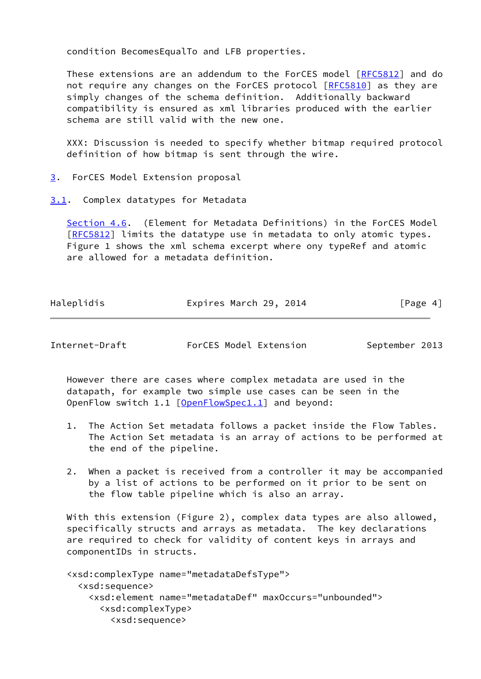condition BecomesEqualTo and LFB properties.

 These extensions are an addendum to the ForCES model [\[RFC5812](https://datatracker.ietf.org/doc/pdf/rfc5812)] and do not require any changes on the ForCES protocol [\[RFC5810](https://datatracker.ietf.org/doc/pdf/rfc5810)] as they are simply changes of the schema definition. Additionally backward compatibility is ensured as xml libraries produced with the earlier schema are still valid with the new one.

 XXX: Discussion is needed to specify whether bitmap required protocol definition of how bitmap is sent through the wire.

- <span id="page-4-0"></span>[3](#page-4-0). ForCES Model Extension proposal
- <span id="page-4-1"></span>[3.1](#page-4-1). Complex datatypes for Metadata

 Section 4.6. (Element for Metadata Definitions) in the ForCES Model [\[RFC5812](https://datatracker.ietf.org/doc/pdf/rfc5812)] limits the datatype use in metadata to only atomic types. Figure 1 shows the xml schema excerpt where ony typeRef and atomic are allowed for a metadata definition.

| Haleplidis | Expires March 29, 2014 | [Page 4] |
|------------|------------------------|----------|
|            |                        |          |

Internet-Draft ForCES Model Extension September 2013

 However there are cases where complex metadata are used in the datapath, for example two simple use cases can be seen in the OpenFlow switch 1.1 [\[OpenFlowSpec1.1](#page-29-6)] and beyond:

- 1. The Action Set metadata follows a packet inside the Flow Tables. The Action Set metadata is an array of actions to be performed at the end of the pipeline.
- 2. When a packet is received from a controller it may be accompanied by a list of actions to be performed on it prior to be sent on the flow table pipeline which is also an array.

 With this extension (Figure 2), complex data types are also allowed, specifically structs and arrays as metadata. The key declarations are required to check for validity of content keys in arrays and componentIDs in structs.

 <xsd:complexType name="metadataDefsType"> <xsd:sequence> <xsd:element name="metadataDef" maxOccurs="unbounded"> <xsd:complexType> <xsd:sequence>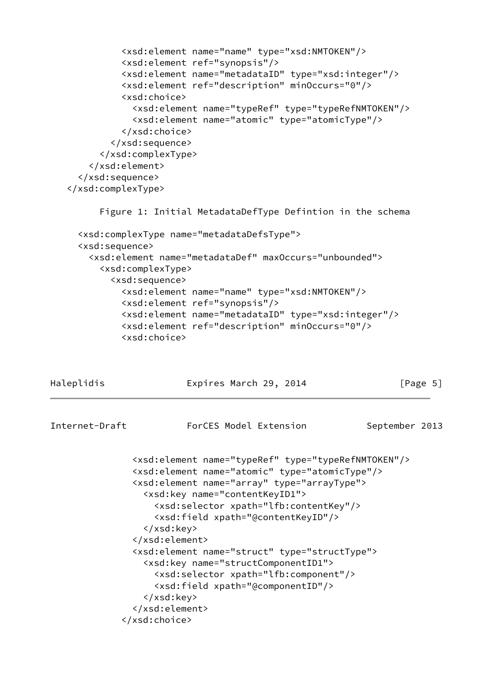```
 <xsd:element name="name" type="xsd:NMTOKEN"/>
           <xsd:element ref="synopsis"/>
           <xsd:element name="metadataID" type="xsd:integer"/>
           <xsd:element ref="description" minOccurs="0"/>
           <xsd:choice>
             <xsd:element name="typeRef" type="typeRefNMTOKEN"/>
             <xsd:element name="atomic" type="atomicType"/>
           </xsd:choice>
         </xsd:sequence>
       </xsd:complexType>
     </xsd:element>
   </xsd:sequence>
 </xsd:complexType>
       Figure 1: Initial MetadataDefType Defintion in the schema
   <xsd:complexType name="metadataDefsType">
   <xsd:sequence>
```

```
 <xsd:element name="metadataDef" maxOccurs="unbounded">
   <xsd:complexType>
     <xsd:sequence>
       <xsd:element name="name" type="xsd:NMTOKEN"/>
       <xsd:element ref="synopsis"/>
       <xsd:element name="metadataID" type="xsd:integer"/>
       <xsd:element ref="description" minOccurs="0"/>
       <xsd:choice>
```
Haleplidis **Expires March 29, 2014** [Page 5]

<span id="page-5-0"></span>

| Internet-Draft | ForCES Model Extension                                                                                                                                                                                                                                                                                                                                                                                                                                                                                                                                                                             | September 2013 |  |
|----------------|----------------------------------------------------------------------------------------------------------------------------------------------------------------------------------------------------------------------------------------------------------------------------------------------------------------------------------------------------------------------------------------------------------------------------------------------------------------------------------------------------------------------------------------------------------------------------------------------------|----------------|--|
|                | <xsd:element name="typeRef" type="typeRefNMTOKEN"></xsd:element><br><xsd:element name="atomic" type="atomicType"></xsd:element><br><xsd:element name="array" type="arrayType"><br/><xsd:key name="contentKeyID1"><br/><xsd:selector xpath="lfb:contentKey"></xsd:selector><br/><xsd:field xpath="@contentKeyID"></xsd:field><br/></xsd:key><br/></xsd:element><br><xsd:element name="struct" type="structType"><br/><xsd:key name="structComponentID1"><br/><xsd:selector xpath="lfb:component"></xsd:selector><br/><xsd:field xpath="@componentID"></xsd:field><br/></xsd:key><br/></xsd:element> |                |  |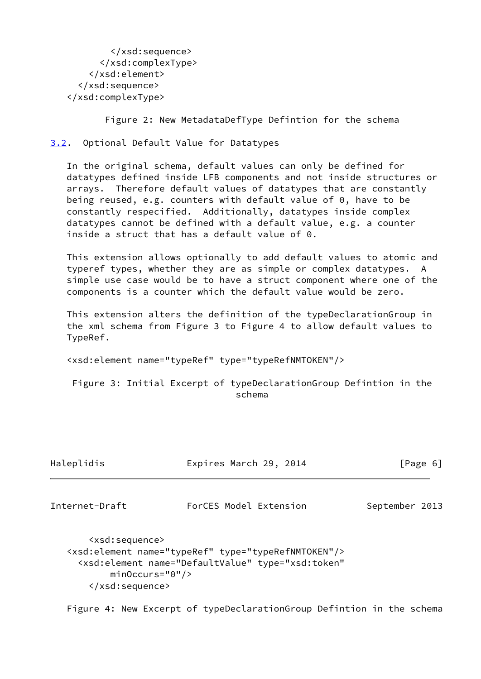```
 </xsd:sequence>
       </xsd:complexType>
     </xsd:element>
   </xsd:sequence>
 </xsd:complexType>
```
Figure 2: New MetadataDefType Defintion for the schema

<span id="page-6-0"></span>[3.2](#page-6-0). Optional Default Value for Datatypes

 In the original schema, default values can only be defined for datatypes defined inside LFB components and not inside structures or arrays. Therefore default values of datatypes that are constantly being reused, e.g. counters with default value of 0, have to be constantly respecified. Additionally, datatypes inside complex datatypes cannot be defined with a default value, e.g. a counter inside a struct that has a default value of 0.

 This extension allows optionally to add default values to atomic and typeref types, whether they are as simple or complex datatypes. A simple use case would be to have a struct component where one of the components is a counter which the default value would be zero.

 This extension alters the definition of the typeDeclarationGroup in the xml schema from Figure 3 to Figure 4 to allow default values to TypeRef.

<xsd:element name="typeRef" type="typeRefNMTOKEN"/>

 Figure 3: Initial Excerpt of typeDeclarationGroup Defintion in the schema

<span id="page-6-1"></span>

| Haleplidis                                       | Expires March 29, 2014 | [Page 6]       |
|--------------------------------------------------|------------------------|----------------|
| Internet-Draft                                   | ForCES Model Extension | September 2013 |
| $\left\langle \text{vcd}\right\rangle$ consences |                        |                |

 <xsd:sequence> <xsd:element name="typeRef" type="typeRefNMTOKEN"/> <xsd:element name="DefaultValue" type="xsd:token" minOccurs="0"/> </xsd:sequence>

Figure 4: New Excerpt of typeDeclarationGroup Defintion in the schema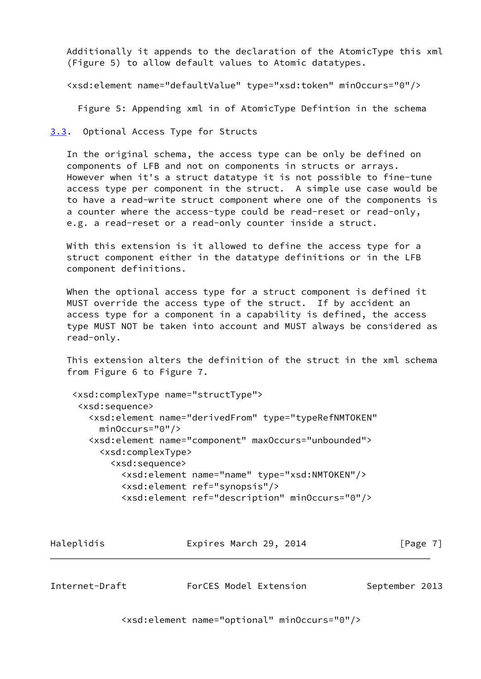Additionally it appends to the declaration of the AtomicType this xml (Figure 5) to allow default values to Atomic datatypes.

<xsd:element name="defaultValue" type="xsd:token" minOccurs="0"/>

Figure 5: Appending xml in of AtomicType Defintion in the schema

<span id="page-7-0"></span>[3.3](#page-7-0). Optional Access Type for Structs

 In the original schema, the access type can be only be defined on components of LFB and not on components in structs or arrays. However when it's a struct datatype it is not possible to fine-tune access type per component in the struct. A simple use case would be to have a read-write struct component where one of the components is a counter where the access-type could be read-reset or read-only, e.g. a read-reset or a read-only counter inside a struct.

 With this extension is it allowed to define the access type for a struct component either in the datatype definitions or in the LFB component definitions.

 When the optional access type for a struct component is defined it MUST override the access type of the struct. If by accident an access type for a component in a capability is defined, the access type MUST NOT be taken into account and MUST always be considered as read-only.

 This extension alters the definition of the struct in the xml schema from Figure 6 to Figure 7.

```
 <xsd:complexType name="structType">
  <xsd:sequence>
    <xsd:element name="derivedFrom" type="typeRefNMTOKEN"
      minOccurs="0"/>
    <xsd:element name="component" maxOccurs="unbounded">
      <xsd:complexType>
        <xsd:sequence>
          <xsd:element name="name" type="xsd:NMTOKEN"/>
          <xsd:element ref="synopsis"/>
          <xsd:element ref="description" minOccurs="0"/>
```

| Haleplidis | Expires March 29, 2014 | [Page 7] |
|------------|------------------------|----------|
|            |                        |          |

<span id="page-7-1"></span>Internet-Draft ForCES Model Extension September 2013

<xsd:element name="optional" minOccurs="0"/>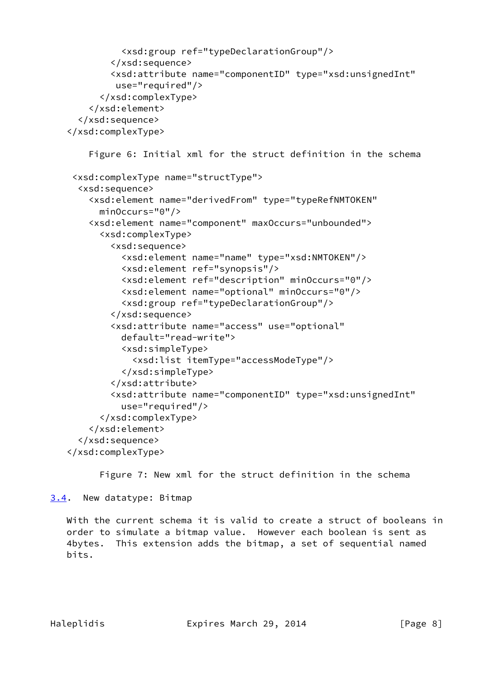```
 <xsd:group ref="typeDeclarationGroup"/>
         </xsd:sequence>
         <xsd:attribute name="componentID" type="xsd:unsignedInt"
          use="required"/>
       </xsd:complexType>
     </xsd:element>
   </xsd:sequence>
 </xsd:complexType>
     Figure 6: Initial xml for the struct definition in the schema
 <xsd:complexType name="structType">
   <xsd:sequence>
     <xsd:element name="derivedFrom" type="typeRefNMTOKEN"
       minOccurs="0"/>
     <xsd:element name="component" maxOccurs="unbounded">
       <xsd:complexType>
         <xsd:sequence>
           <xsd:element name="name" type="xsd:NMTOKEN"/>
           <xsd:element ref="synopsis"/>
           <xsd:element ref="description" minOccurs="0"/>
           <xsd:element name="optional" minOccurs="0"/>
           <xsd:group ref="typeDeclarationGroup"/>
         </xsd:sequence>
         <xsd:attribute name="access" use="optional"
           default="read-write">
           <xsd:simpleType>
             <xsd:list itemType="accessModeType"/>
           </xsd:simpleType>
         </xsd:attribute>
         <xsd:attribute name="componentID" type="xsd:unsignedInt"
           use="required"/>
       </xsd:complexType>
     </xsd:element>
   </xsd:sequence>
 </xsd:complexType>
```
Figure 7: New xml for the struct definition in the schema

<span id="page-8-0"></span>[3.4](#page-8-0). New datatype: Bitmap

 With the current schema it is valid to create a struct of booleans in order to simulate a bitmap value. However each boolean is sent as 4bytes. This extension adds the bitmap, a set of sequential named bits.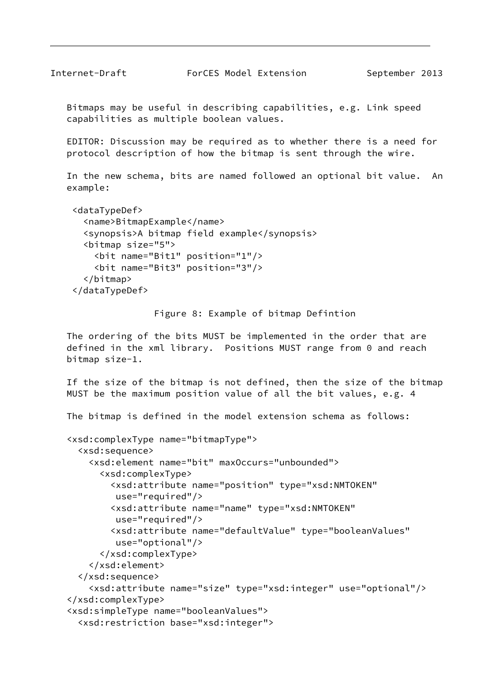Bitmaps may be useful in describing capabilities, e.g. Link speed capabilities as multiple boolean values.

 EDITOR: Discussion may be required as to whether there is a need for protocol description of how the bitmap is sent through the wire.

 In the new schema, bits are named followed an optional bit value. An example:

```
 <dataTypeDef>
   <name>BitmapExample</name>
   <synopsis>A bitmap field example</synopsis>
   <bitmap size="5">
     <bit name="Bit1" position="1"/>
     <bit name="Bit3" position="3"/>
   </bitmap>
 </dataTypeDef>
```
Figure 8: Example of bitmap Defintion

 The ordering of the bits MUST be implemented in the order that are defined in the xml library. Positions MUST range from 0 and reach bitmap size-1.

 If the size of the bitmap is not defined, then the size of the bitmap MUST be the maximum position value of all the bit values, e.g. 4

The bitmap is defined in the model extension schema as follows:

```
 <xsd:complexType name="bitmapType">
   <xsd:sequence>
     <xsd:element name="bit" maxOccurs="unbounded">
       <xsd:complexType>
         <xsd:attribute name="position" type="xsd:NMTOKEN"
          use="required"/>
         <xsd:attribute name="name" type="xsd:NMTOKEN"
          use="required"/>
         <xsd:attribute name="defaultValue" type="booleanValues"
          use="optional"/>
       </xsd:complexType>
     </xsd:element>
   </xsd:sequence>
     <xsd:attribute name="size" type="xsd:integer" use="optional"/>
 </xsd:complexType>
 <xsd:simpleType name="booleanValues">
   <xsd:restriction base="xsd:integer">
```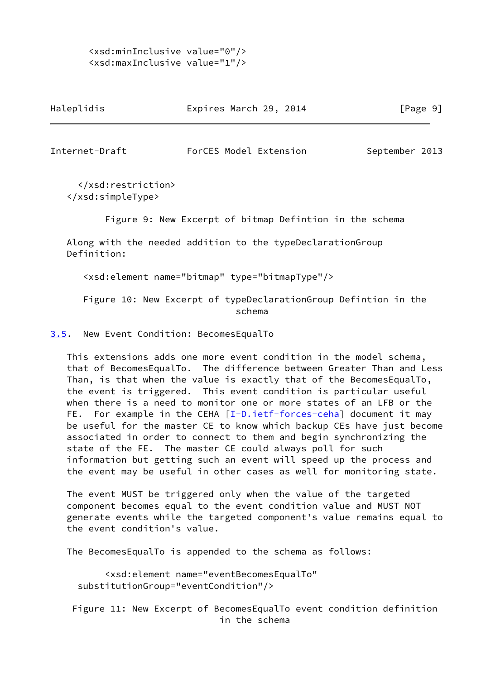# <xsd:minInclusive value="0"/> <xsd:maxInclusive value="1"/>

| Haleplidis | Expires March 29, 2014 | [Page 9] |
|------------|------------------------|----------|
|            |                        |          |

<span id="page-10-1"></span>Internet-Draft ForCES Model Extension September 2013

 </xsd:restriction> </xsd:simpleType>

Figure 9: New Excerpt of bitmap Defintion in the schema

 Along with the needed addition to the typeDeclarationGroup Definition:

<xsd:element name="bitmap" type="bitmapType"/>

 Figure 10: New Excerpt of typeDeclarationGroup Defintion in the schema

<span id="page-10-0"></span>[3.5](#page-10-0). New Event Condition: BecomesEqualTo

 This extensions adds one more event condition in the model schema, that of BecomesEqualTo. The difference between Greater Than and Less Than, is that when the value is exactly that of the BecomesEqualTo, the event is triggered. This event condition is particular useful when there is a need to monitor one or more states of an LFB or the FE. For example in the CEHA [\[I-D.ietf-forces-ceha](#page-29-7)] document it may be useful for the master CE to know which backup CEs have just become associated in order to connect to them and begin synchronizing the state of the FE. The master CE could always poll for such information but getting such an event will speed up the process and the event may be useful in other cases as well for monitoring state.

 The event MUST be triggered only when the value of the targeted component becomes equal to the event condition value and MUST NOT generate events while the targeted component's value remains equal to the event condition's value.

The BecomesEqualTo is appended to the schema as follows:

 <xsd:element name="eventBecomesEqualTo" substitutionGroup="eventCondition"/>

 Figure 11: New Excerpt of BecomesEqualTo event condition definition in the schema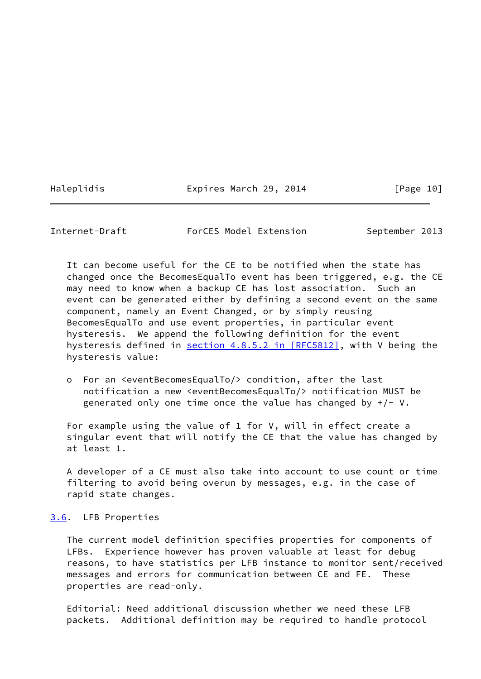Haleplidis **Expires March 29, 2014** [Page 10]

<span id="page-11-1"></span>Internet-Draft ForCES Model Extension September 2013

 It can become useful for the CE to be notified when the state has changed once the BecomesEqualTo event has been triggered, e.g. the CE may need to know when a backup CE has lost association. Such an event can be generated either by defining a second event on the same component, namely an Event Changed, or by simply reusing BecomesEqualTo and use event properties, in particular event hysteresis. We append the following definition for the event hysteresis defined in section [4.8.5.2 in \[RFC5812\]](https://datatracker.ietf.org/doc/pdf/rfc5812#section-4.8.5.2), with V being the hysteresis value:

 o For an <eventBecomesEqualTo/> condition, after the last notification a new <eventBecomesEqualTo/> notification MUST be generated only one time once the value has changed by  $+/- V$ .

 For example using the value of 1 for V, will in effect create a singular event that will notify the CE that the value has changed by at least 1.

 A developer of a CE must also take into account to use count or time filtering to avoid being overun by messages, e.g. in the case of rapid state changes.

<span id="page-11-0"></span>[3.6](#page-11-0). LFB Properties

 The current model definition specifies properties for components of LFBs. Experience however has proven valuable at least for debug reasons, to have statistics per LFB instance to monitor sent/received messages and errors for communication between CE and FE. These properties are read-only.

 Editorial: Need additional discussion whether we need these LFB packets. Additional definition may be required to handle protocol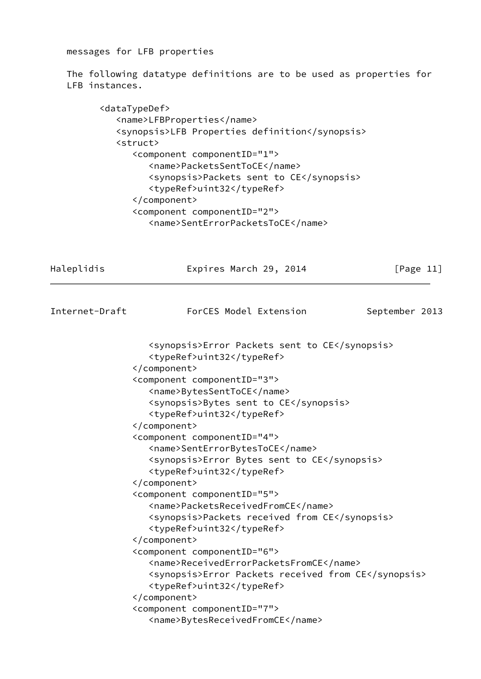messages for LFB properties

 The following datatype definitions are to be used as properties for LFB instances.

 <dataTypeDef> <name>LFBProperties</name> <synopsis>LFB Properties definition</synopsis> <struct> <component componentID="1"> <name>PacketsSentToCE</name> <synopsis>Packets sent to CE</synopsis> <typeRef>uint32</typeRef> </component> <component componentID="2"> <name>SentErrorPacketsToCE</name>

<span id="page-12-0"></span>Haleplidis **Expires March 29, 2014** [Page 11] Internet-Draft ForCES Model Extension September 2013 <synopsis>Error Packets sent to CE</synopsis> <typeRef>uint32</typeRef> </component> <component componentID="3"> <name>BytesSentToCE</name> <synopsis>Bytes sent to CE</synopsis> <typeRef>uint32</typeRef> </component> <component componentID="4"> <name>SentErrorBytesToCE</name> <synopsis>Error Bytes sent to CE</synopsis> <typeRef>uint32</typeRef> </component> <component componentID="5"> <name>PacketsReceivedFromCE</name> <synopsis>Packets received from CE</synopsis> <typeRef>uint32</typeRef> </component> <component componentID="6"> <name>ReceivedErrorPacketsFromCE</name> <synopsis>Error Packets received from CE</synopsis> <typeRef>uint32</typeRef> </component> <component componentID="7"> <name>BytesReceivedFromCE</name>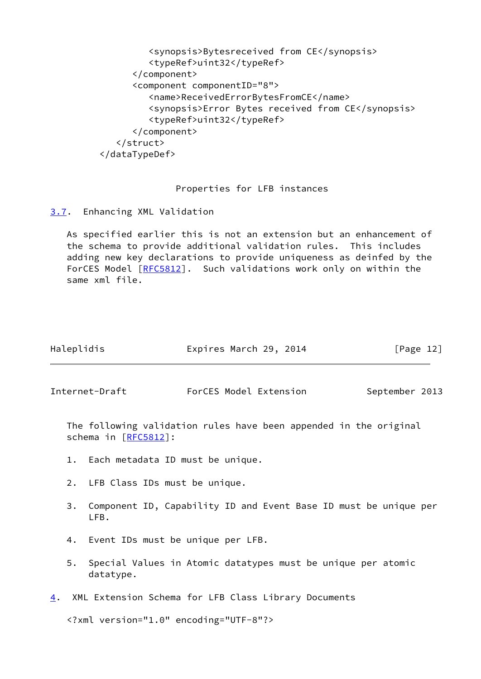| <synopsis>Bytesreceived from CE</synopsis>        |
|---------------------------------------------------|
| <typeref>uint32</typeref>                         |
|                                                   |
| <component componentid="8"></component>           |
| <name>ReceivedErrorBytesFromCE</name>             |
| <synopsis>Error Bytes received from CE</synopsis> |
| <typeref>uint32</typeref>                         |
|                                                   |
| $\langle$ /struct>                                |
|                                                   |
|                                                   |

## Properties for LFB instances

<span id="page-13-0"></span>[3.7](#page-13-0). Enhancing XML Validation

 As specified earlier this is not an extension but an enhancement of the schema to provide additional validation rules. This includes adding new key declarations to provide uniqueness as deinfed by the ForCES Model [\[RFC5812](https://datatracker.ietf.org/doc/pdf/rfc5812)]. Such validations work only on within the same xml file.

| [Page 12] |
|-----------|
|           |

<span id="page-13-2"></span>Internet-Draft ForCES Model Extension September 2013

 The following validation rules have been appended in the original schema in [[RFC5812](https://datatracker.ietf.org/doc/pdf/rfc5812)]:

- 1. Each metadata ID must be unique.
- 2. LFB Class IDs must be unique.
- 3. Component ID, Capability ID and Event Base ID must be unique per LFB.
- 4. Event IDs must be unique per LFB.
- 5. Special Values in Atomic datatypes must be unique per atomic datatype.
- <span id="page-13-1"></span>[4](#page-13-1). XML Extension Schema for LFB Class Library Documents

<?xml version="1.0" encoding="UTF-8"?>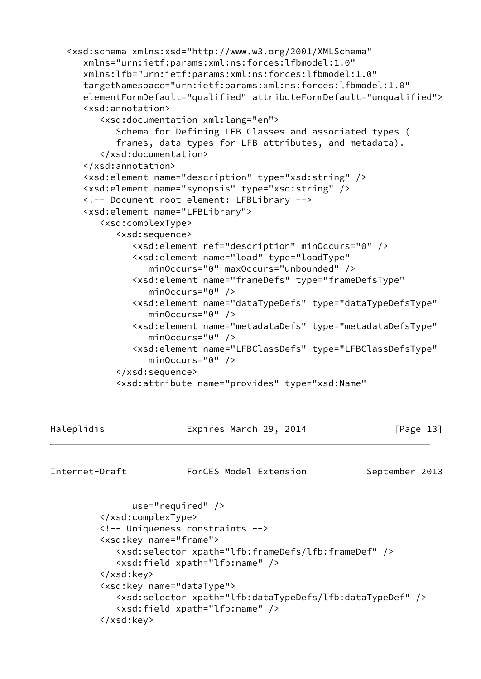```
 <xsd:schema xmlns:xsd="http://www.w3.org/2001/XMLSchema"
       xmlns="urn:ietf:params:xml:ns:forces:lfbmodel:1.0"
       xmlns:lfb="urn:ietf:params:xml:ns:forces:lfbmodel:1.0"
       targetNamespace="urn:ietf:params:xml:ns:forces:lfbmodel:1.0"
       elementFormDefault="qualified" attributeFormDefault="unqualified">
       <xsd:annotation>
          <xsd:documentation xml:lang="en">
             Schema for Defining LFB Classes and associated types (
             frames, data types for LFB attributes, and metadata).
          </xsd:documentation>
       </xsd:annotation>
       <xsd:element name="description" type="xsd:string" />
       <xsd:element name="synopsis" type="xsd:string" />
       <!-- Document root element: LFBLibrary -->
       <xsd:element name="LFBLibrary">
          <xsd:complexType>
             <xsd:sequence>
                <xsd:element ref="description" minOccurs="0" />
                <xsd:element name="load" type="loadType"
                   minOccurs="0" maxOccurs="unbounded" />
                <xsd:element name="frameDefs" type="frameDefsType"
                   minOccurs="0" />
                <xsd:element name="dataTypeDefs" type="dataTypeDefsType"
                   minOccurs="0" />
                <xsd:element name="metadataDefs" type="metadataDefsType"
                   minOccurs="0" />
                <xsd:element name="LFBClassDefs" type="LFBClassDefsType"
                  minOccurs="0" />
             </xsd:sequence>
             <xsd:attribute name="provides" type="xsd:Name"
Haleplidis Expires March 29, 2014 [Page 13]
Internet-Draft ForCES Model Extension September 2013
                use="required" />
```

```
 </xsd:complexType>
 <!-- Uniqueness constraints -->
 <xsd:key name="frame">
    <xsd:selector xpath="lfb:frameDefs/lfb:frameDef" />
    <xsd:field xpath="lfb:name" />
 </xsd:key>
 <xsd:key name="dataType">
    <xsd:selector xpath="lfb:dataTypeDefs/lfb:dataTypeDef" />
    <xsd:field xpath="lfb:name" />
 </xsd:key>
```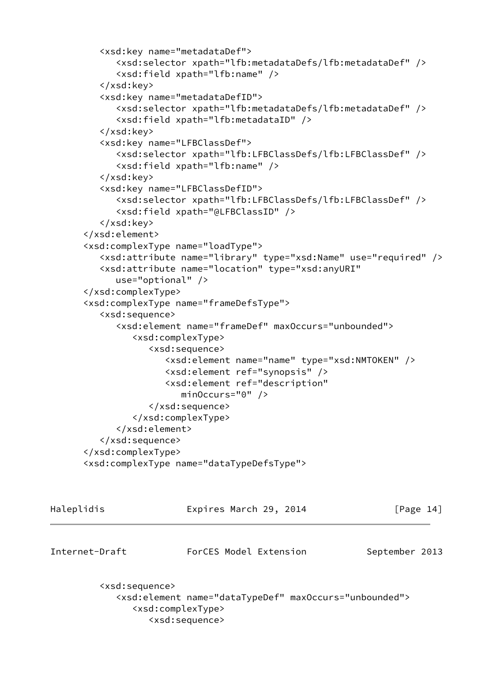```
 <xsd:key name="metadataDef">
       <xsd:selector xpath="lfb:metadataDefs/lfb:metadataDef" />
       <xsd:field xpath="lfb:name" />
    </xsd:key>
    <xsd:key name="metadataDefID">
       <xsd:selector xpath="lfb:metadataDefs/lfb:metadataDef" />
       <xsd:field xpath="lfb:metadataID" />
    </xsd:key>
    <xsd:key name="LFBClassDef">
       <xsd:selector xpath="lfb:LFBClassDefs/lfb:LFBClassDef" />
       <xsd:field xpath="lfb:name" />
    </xsd:key>
    <xsd:key name="LFBClassDefID">
       <xsd:selector xpath="lfb:LFBClassDefs/lfb:LFBClassDef" />
       <xsd:field xpath="@LFBClassID" />
    </xsd:key>
 </xsd:element>
 <xsd:complexType name="loadType">
    <xsd:attribute name="library" type="xsd:Name" use="required" />
    <xsd:attribute name="location" type="xsd:anyURI"
       use="optional" />
 </xsd:complexType>
 <xsd:complexType name="frameDefsType">
    <xsd:sequence>
       <xsd:element name="frameDef" maxOccurs="unbounded">
          <xsd:complexType>
             <xsd:sequence>
                <xsd:element name="name" type="xsd:NMTOKEN" />
                <xsd:element ref="synopsis" />
                <xsd:element ref="description"
                    minOccurs="0" />
             </xsd:sequence>
          </xsd:complexType>
       </xsd:element>
    </xsd:sequence>
 </xsd:complexType>
 <xsd:complexType name="dataTypeDefsType">
```

| Haleplidis                                                            | Expires March 29, 2014                                                                                 | $\lceil \text{Page 14} \rceil$ |
|-----------------------------------------------------------------------|--------------------------------------------------------------------------------------------------------|--------------------------------|
| Internet-Draft                                                        | ForCES Model Extension                                                                                 | September 2013                 |
| <xsd:sequence><br/><xsd:complextype></xsd:complextype></xsd:sequence> | <xsd:element maxoccurs="unbounded" name="dataTypeDef"><br/><xsd:sequence></xsd:sequence></xsd:element> |                                |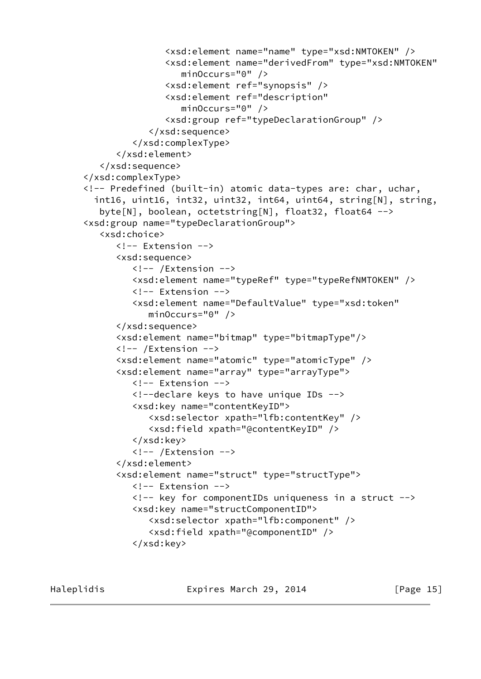```
 <xsd:element name="name" type="xsd:NMTOKEN" />
                <xsd:element name="derivedFrom" type="xsd:NMTOKEN"
                    minOccurs="0" />
                <xsd:element ref="synopsis" />
                <xsd:element ref="description"
                    minOccurs="0" />
                <xsd:group ref="typeDeclarationGroup" />
             </xsd:sequence>
          </xsd:complexType>
       </xsd:element>
    </xsd:sequence>
 </xsd:complexType>
 <!-- Predefined (built-in) atomic data-types are: char, uchar,
   int16, uint16, int32, uint32, int64, uint64, string[N], string,
    byte[N], boolean, octetstring[N], float32, float64 -->
 <xsd:group name="typeDeclarationGroup">
    <xsd:choice>
       <!-- Extension -->
       <xsd:sequence>
          <!-- /Extension -->
          <xsd:element name="typeRef" type="typeRefNMTOKEN" />
          <!-- Extension -->
          <xsd:element name="DefaultValue" type="xsd:token"
             minOccurs="0" />
       </xsd:sequence>
       <xsd:element name="bitmap" type="bitmapType"/>
       <!-- /Extension -->
       <xsd:element name="atomic" type="atomicType" />
       <xsd:element name="array" type="arrayType">
          <!-- Extension -->
          <!--declare keys to have unique IDs -->
          <xsd:key name="contentKeyID">
             <xsd:selector xpath="lfb:contentKey" />
             <xsd:field xpath="@contentKeyID" />
          </xsd:key>
          <!-- /Extension -->
       </xsd:element>
       <xsd:element name="struct" type="structType">
          <!-- Extension -->
          <!-- key for componentIDs uniqueness in a struct -->
          <xsd:key name="structComponentID">
             <xsd:selector xpath="lfb:component" />
             <xsd:field xpath="@componentID" />
          </xsd:key>
```
Haleplidis **Expires March 29, 2014** [Page 15]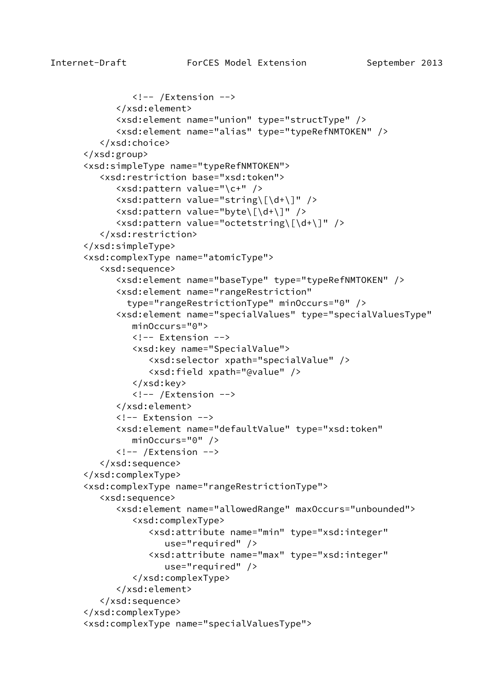```
\langle!-- /Extension -->
       </xsd:element>
       <xsd:element name="union" type="structType" />
       <xsd:element name="alias" type="typeRefNMTOKEN" />
    </xsd:choice>
 </xsd:group>
 <xsd:simpleType name="typeRefNMTOKEN">
    <xsd:restriction base="xsd:token">
       <xsd:pattern value="\c+" />
       <xsd:pattern value="string\[\d+\]" />
       <xsd:pattern value="byte\[\d+\]" />
       <xsd:pattern value="octetstring\[\d+\]" />
    </xsd:restriction>
 </xsd:simpleType>
 <xsd:complexType name="atomicType">
    <xsd:sequence>
       <xsd:element name="baseType" type="typeRefNMTOKEN" />
       <xsd:element name="rangeRestriction"
         type="rangeRestrictionType" minOccurs="0" />
       <xsd:element name="specialValues" type="specialValuesType"
          minOccurs="0">
          <!-- Extension -->
          <xsd:key name="SpecialValue">
             <xsd:selector xpath="specialValue" />
             <xsd:field xpath="@value" />
          </xsd:key>
         \langle!-- /Extension -->
       </xsd:element>
       <!-- Extension -->
       <xsd:element name="defaultValue" type="xsd:token"
          minOccurs="0" />
       <!-- /Extension -->
    </xsd:sequence>
 </xsd:complexType>
 <xsd:complexType name="rangeRestrictionType">
    <xsd:sequence>
       <xsd:element name="allowedRange" maxOccurs="unbounded">
          <xsd:complexType>
             <xsd:attribute name="min" type="xsd:integer"
                 use="required" />
             <xsd:attribute name="max" type="xsd:integer"
                 use="required" />
          </xsd:complexType>
       </xsd:element>
    </xsd:sequence>
 </xsd:complexType>
 <xsd:complexType name="specialValuesType">
```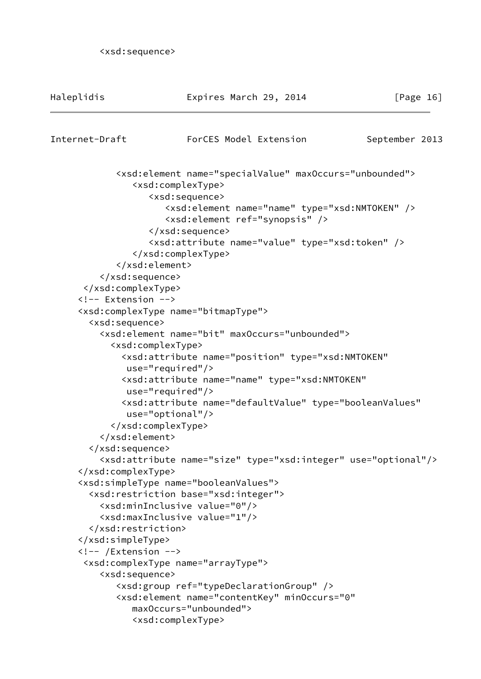```
 <xsd:sequence>
```

| Haleplidis                    | Expires March 29, 2014                                                                                   | [Page $16$ ]   |
|-------------------------------|----------------------------------------------------------------------------------------------------------|----------------|
| Internet-Draft                | ForCES Model Extension                                                                                   | September 2013 |
|                               | <xsd:element maxoccurs="unbounded" name="specialValue"></xsd:element>                                    |                |
|                               | <xsd:complextype></xsd:complextype>                                                                      |                |
|                               | <xsd:sequence></xsd:sequence>                                                                            |                |
|                               | <xsd:element name="name" type="xsd:NMTOKEN"></xsd:element><br><xsd:element ref="synopsis"></xsd:element> |                |
|                               |                                                                                                          |                |
|                               | <xsd:attribute name="value" type="xsd:token"></xsd:attribute>                                            |                |
|                               |                                                                                                          |                |
|                               |                                                                                                          |                |
|                               |                                                                                                          |                |
|                               |                                                                                                          |                |
| Extension                     |                                                                                                          |                |
|                               | <xsd:complextype name="bitmapType"></xsd:complextype>                                                    |                |
| <xsd:sequence></xsd:sequence> | <xsd:element maxoccurs="unbounded" name="bit"></xsd:element>                                             |                |
|                               | <xsd:complextype></xsd:complextype>                                                                      |                |
|                               | <xsd:attribute <="" name="position" td="" type="xsd:NMTOKEN"><td></td></xsd:attribute>                   |                |
|                               | $use="regulared"$                                                                                        |                |
|                               | <xsd:attribute <="" name="name" td="" type="xsd:NMTOKEN"><td></td></xsd:attribute>                       |                |
|                               | $use="regulared"$                                                                                        |                |
|                               | <xsd:attribute <="" name="defaultValue" td="" type="booleanValues"><td></td></xsd:attribute>             |                |
|                               | $use="optional"$                                                                                         |                |
|                               |                                                                                                          |                |
|                               |                                                                                                          |                |
|                               |                                                                                                          |                |
|                               | <xsd:attribute name="size" type="xsd:integer" use="optional"></xsd:attribute>                            |                |
|                               |                                                                                                          |                |
|                               | <xsd:simpletype name="booleanValues"></xsd:simpletype>                                                   |                |
|                               | <xsd:restriction base="xsd:integer"></xsd:restriction>                                                   |                |
|                               | <xsd:mininclusive value="0"></xsd:mininclusive>                                                          |                |
|                               | <xsd:maxinclusive value="1"></xsd:maxinclusive>                                                          |                |
|                               |                                                                                                          |                |
| $\langle$ !-- /Extension -->  |                                                                                                          |                |
|                               | <xsd:complextype name="arrayType"></xsd:complextype>                                                     |                |
| <xsd:sequence></xsd:sequence> |                                                                                                          |                |
|                               | <xsd:group ref="typeDeclarationGroup"></xsd:group>                                                       |                |
|                               | <xsd:element <="" minoccurs="0" name="contentKey" td=""><td></td></xsd:element>                          |                |
|                               | maxOccurs="unbounded">                                                                                   |                |
|                               | <xsd:complextype></xsd:complextype>                                                                      |                |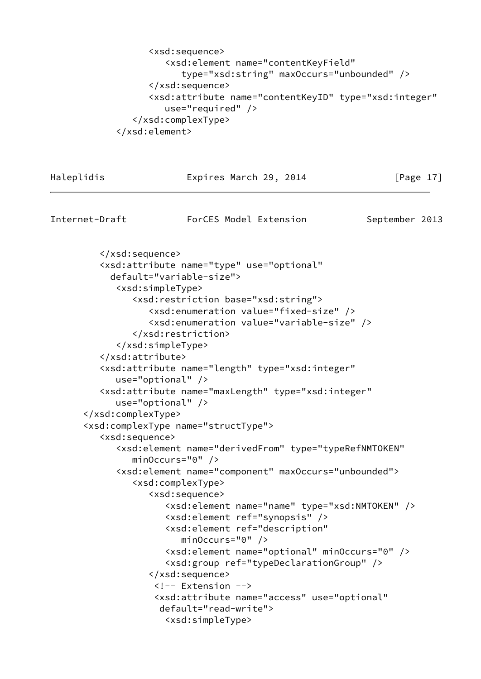```
 <xsd:sequence>
          <xsd:element name="contentKeyField"
             type="xsd:string" maxOccurs="unbounded" />
       </xsd:sequence>
       <xsd:attribute name="contentKeyID" type="xsd:integer"
          use="required" />
    </xsd:complexType>
 </xsd:element>
```

| Internet-Draft<br>ForCES Model Extension<br>September 2013<br><br><xsd:attribute <br="" name="type" use="optional">default="variable-size"&gt;<br/><xsd:simpletype><br/><xsd:restriction base="xsd:string"><br/><xsd:enumeration value="fixed-size"></xsd:enumeration><br/><xsd:enumeration value="variable-size"></xsd:enumeration><br/></xsd:restriction><br/></xsd:simpletype><br/></xsd:attribute><br><xsd:attribute <br="" name="length" type="xsd:integer"><math>use="optional"</math>/&gt;<br/><xsd:attribute <br="" name="maxLength" type="xsd:integer"><math>use="optional"</math>/&gt;<br/><br/><xsd:complextype name="structType"><br/><xsd:sequence><br/><xsd:element <br="" name="derivedFrom" type="typeRefNMTOKEN"><math>minOccurs="0"</math> /&gt;<br/><xsd:element maxoccurs="unbounded" name="component"><br/><xsd:complextype><br/><xsd:sequence><br/><xsd:element name="name" type="xsd:NMTOKEN"></xsd:element><br/><xsd:element ref="synopsis"></xsd:element><br/><xsd:element <br="" ref="description"><math>minOccurs="0"</math> /&gt;<br/><xsd:element minoccurs="0" name="optional"></xsd:element><br/><xsd:group ref="typeDeclarationGroup"></xsd:group><br/></xsd:element></xsd:sequence><br/><!-- Extension --><br/><xsd:attribute <br="" name="access" use="optional">default="read-write"&gt;</xsd:attribute></xsd:complextype></xsd:element></xsd:element></xsd:sequence></xsd:complextype></xsd:attribute></xsd:attribute> | Haleplidis | Expires March 29, 2014            | [Page $17$ ] |
|------------------------------------------------------------------------------------------------------------------------------------------------------------------------------------------------------------------------------------------------------------------------------------------------------------------------------------------------------------------------------------------------------------------------------------------------------------------------------------------------------------------------------------------------------------------------------------------------------------------------------------------------------------------------------------------------------------------------------------------------------------------------------------------------------------------------------------------------------------------------------------------------------------------------------------------------------------------------------------------------------------------------------------------------------------------------------------------------------------------------------------------------------------------------------------------------------------------------------------------------------------------------------------------------------------------------------------------------------------------------------------------------------------------------------------------------------------|------------|-----------------------------------|--------------|
|                                                                                                                                                                                                                                                                                                                                                                                                                                                                                                                                                                                                                                                                                                                                                                                                                                                                                                                                                                                                                                                                                                                                                                                                                                                                                                                                                                                                                                                            |            |                                   |              |
|                                                                                                                                                                                                                                                                                                                                                                                                                                                                                                                                                                                                                                                                                                                                                                                                                                                                                                                                                                                                                                                                                                                                                                                                                                                                                                                                                                                                                                                            |            |                                   |              |
|                                                                                                                                                                                                                                                                                                                                                                                                                                                                                                                                                                                                                                                                                                                                                                                                                                                                                                                                                                                                                                                                                                                                                                                                                                                                                                                                                                                                                                                            |            |                                   |              |
|                                                                                                                                                                                                                                                                                                                                                                                                                                                                                                                                                                                                                                                                                                                                                                                                                                                                                                                                                                                                                                                                                                                                                                                                                                                                                                                                                                                                                                                            |            |                                   |              |
|                                                                                                                                                                                                                                                                                                                                                                                                                                                                                                                                                                                                                                                                                                                                                                                                                                                                                                                                                                                                                                                                                                                                                                                                                                                                                                                                                                                                                                                            |            |                                   |              |
|                                                                                                                                                                                                                                                                                                                                                                                                                                                                                                                                                                                                                                                                                                                                                                                                                                                                                                                                                                                                                                                                                                                                                                                                                                                                                                                                                                                                                                                            |            |                                   |              |
|                                                                                                                                                                                                                                                                                                                                                                                                                                                                                                                                                                                                                                                                                                                                                                                                                                                                                                                                                                                                                                                                                                                                                                                                                                                                                                                                                                                                                                                            |            |                                   |              |
|                                                                                                                                                                                                                                                                                                                                                                                                                                                                                                                                                                                                                                                                                                                                                                                                                                                                                                                                                                                                                                                                                                                                                                                                                                                                                                                                                                                                                                                            |            |                                   |              |
|                                                                                                                                                                                                                                                                                                                                                                                                                                                                                                                                                                                                                                                                                                                                                                                                                                                                                                                                                                                                                                                                                                                                                                                                                                                                                                                                                                                                                                                            |            |                                   |              |
|                                                                                                                                                                                                                                                                                                                                                                                                                                                                                                                                                                                                                                                                                                                                                                                                                                                                                                                                                                                                                                                                                                                                                                                                                                                                                                                                                                                                                                                            |            |                                   |              |
|                                                                                                                                                                                                                                                                                                                                                                                                                                                                                                                                                                                                                                                                                                                                                                                                                                                                                                                                                                                                                                                                                                                                                                                                                                                                                                                                                                                                                                                            |            |                                   |              |
|                                                                                                                                                                                                                                                                                                                                                                                                                                                                                                                                                                                                                                                                                                                                                                                                                                                                                                                                                                                                                                                                                                                                                                                                                                                                                                                                                                                                                                                            |            |                                   |              |
|                                                                                                                                                                                                                                                                                                                                                                                                                                                                                                                                                                                                                                                                                                                                                                                                                                                                                                                                                                                                                                                                                                                                                                                                                                                                                                                                                                                                                                                            |            |                                   |              |
|                                                                                                                                                                                                                                                                                                                                                                                                                                                                                                                                                                                                                                                                                                                                                                                                                                                                                                                                                                                                                                                                                                                                                                                                                                                                                                                                                                                                                                                            |            |                                   |              |
|                                                                                                                                                                                                                                                                                                                                                                                                                                                                                                                                                                                                                                                                                                                                                                                                                                                                                                                                                                                                                                                                                                                                                                                                                                                                                                                                                                                                                                                            |            |                                   |              |
|                                                                                                                                                                                                                                                                                                                                                                                                                                                                                                                                                                                                                                                                                                                                                                                                                                                                                                                                                                                                                                                                                                                                                                                                                                                                                                                                                                                                                                                            |            |                                   |              |
|                                                                                                                                                                                                                                                                                                                                                                                                                                                                                                                                                                                                                                                                                                                                                                                                                                                                                                                                                                                                                                                                                                                                                                                                                                                                                                                                                                                                                                                            |            |                                   |              |
|                                                                                                                                                                                                                                                                                                                                                                                                                                                                                                                                                                                                                                                                                                                                                                                                                                                                                                                                                                                                                                                                                                                                                                                                                                                                                                                                                                                                                                                            |            |                                   |              |
|                                                                                                                                                                                                                                                                                                                                                                                                                                                                                                                                                                                                                                                                                                                                                                                                                                                                                                                                                                                                                                                                                                                                                                                                                                                                                                                                                                                                                                                            |            |                                   |              |
|                                                                                                                                                                                                                                                                                                                                                                                                                                                                                                                                                                                                                                                                                                                                                                                                                                                                                                                                                                                                                                                                                                                                                                                                                                                                                                                                                                                                                                                            |            |                                   |              |
|                                                                                                                                                                                                                                                                                                                                                                                                                                                                                                                                                                                                                                                                                                                                                                                                                                                                                                                                                                                                                                                                                                                                                                                                                                                                                                                                                                                                                                                            |            |                                   |              |
|                                                                                                                                                                                                                                                                                                                                                                                                                                                                                                                                                                                                                                                                                                                                                                                                                                                                                                                                                                                                                                                                                                                                                                                                                                                                                                                                                                                                                                                            |            |                                   |              |
|                                                                                                                                                                                                                                                                                                                                                                                                                                                                                                                                                                                                                                                                                                                                                                                                                                                                                                                                                                                                                                                                                                                                                                                                                                                                                                                                                                                                                                                            |            |                                   |              |
|                                                                                                                                                                                                                                                                                                                                                                                                                                                                                                                                                                                                                                                                                                                                                                                                                                                                                                                                                                                                                                                                                                                                                                                                                                                                                                                                                                                                                                                            |            |                                   |              |
|                                                                                                                                                                                                                                                                                                                                                                                                                                                                                                                                                                                                                                                                                                                                                                                                                                                                                                                                                                                                                                                                                                                                                                                                                                                                                                                                                                                                                                                            |            |                                   |              |
|                                                                                                                                                                                                                                                                                                                                                                                                                                                                                                                                                                                                                                                                                                                                                                                                                                                                                                                                                                                                                                                                                                                                                                                                                                                                                                                                                                                                                                                            |            |                                   |              |
|                                                                                                                                                                                                                                                                                                                                                                                                                                                                                                                                                                                                                                                                                                                                                                                                                                                                                                                                                                                                                                                                                                                                                                                                                                                                                                                                                                                                                                                            |            |                                   |              |
|                                                                                                                                                                                                                                                                                                                                                                                                                                                                                                                                                                                                                                                                                                                                                                                                                                                                                                                                                                                                                                                                                                                                                                                                                                                                                                                                                                                                                                                            |            |                                   |              |
|                                                                                                                                                                                                                                                                                                                                                                                                                                                                                                                                                                                                                                                                                                                                                                                                                                                                                                                                                                                                                                                                                                                                                                                                                                                                                                                                                                                                                                                            |            |                                   |              |
|                                                                                                                                                                                                                                                                                                                                                                                                                                                                                                                                                                                                                                                                                                                                                                                                                                                                                                                                                                                                                                                                                                                                                                                                                                                                                                                                                                                                                                                            |            | <xsd:simpletype></xsd:simpletype> |              |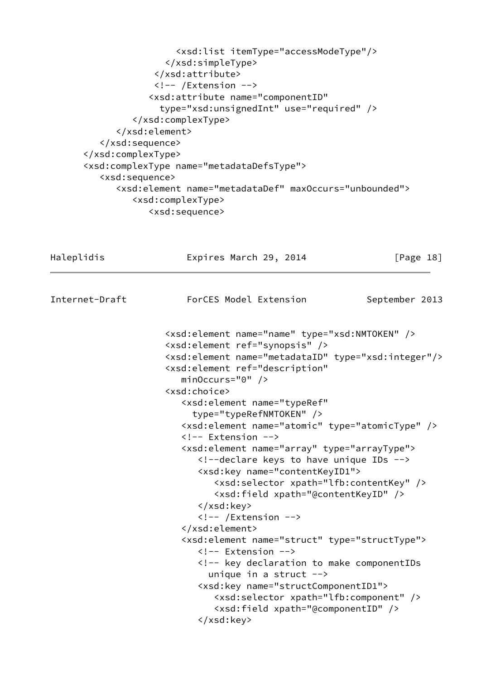```
 <xsd:list itemType="accessModeType"/>
                 </xsd:simpleType>
              </xsd:attribute>
              <!-- /Extension -->
             <xsd:attribute name="componentID"
               type="xsd:unsignedInt" use="required" />
          </xsd:complexType>
       </xsd:element>
    </xsd:sequence>
 </xsd:complexType>
 <xsd:complexType name="metadataDefsType">
    <xsd:sequence>
       <xsd:element name="metadataDef" maxOccurs="unbounded">
          <xsd:complexType>
             <xsd:sequence>
```
Haleplidis **Expires March 29, 2014** [Page 18]

Internet-Draft ForCES Model Extension September 2013

 <xsd:element name="name" type="xsd:NMTOKEN" /> <xsd:element ref="synopsis" /> <xsd:element name="metadataID" type="xsd:integer"/> <xsd:element ref="description" minOccurs="0" /> <xsd:choice> <xsd:element name="typeRef" type="typeRefNMTOKEN" /> <xsd:element name="atomic" type="atomicType" /> <!-- Extension --> <xsd:element name="array" type="arrayType"> <!--declare keys to have unique IDs --> <xsd:key name="contentKeyID1"> <xsd:selector xpath="lfb:contentKey" /> <xsd:field xpath="@contentKeyID" /> </xsd:key> <!-- /Extension --> </xsd:element> <xsd:element name="struct" type="structType"> <!-- Extension --> <!-- key declaration to make componentIDs unique in a struct  $\rightarrow$  <xsd:key name="structComponentID1"> <xsd:selector xpath="lfb:component" /> <xsd:field xpath="@componentID" /> </xsd:key>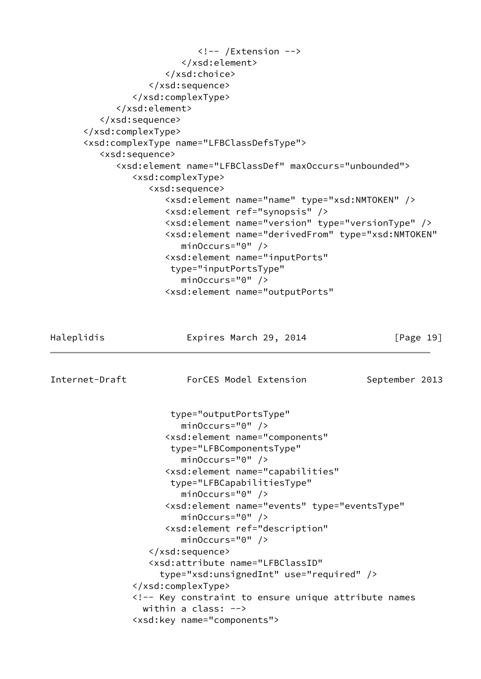```
 <!-- /Extension -->
                         </xsd:element>
                      </xsd:choice>
                   </xsd:sequence>
                </xsd:complexType>
             </xsd:element>
          </xsd:sequence>
       </xsd:complexType>
       <xsd:complexType name="LFBClassDefsType">
          <xsd:sequence>
             <xsd:element name="LFBClassDef" maxOccurs="unbounded">
                <xsd:complexType>
                   <xsd:sequence>
                      <xsd:element name="name" type="xsd:NMTOKEN" />
                      <xsd:element ref="synopsis" />
                      <xsd:element name="version" type="versionType" />
                      <xsd:element name="derivedFrom" type="xsd:NMTOKEN"
                         minOccurs="0" />
                      <xsd:element name="inputPorts"
                       type="inputPortsType"
                         minOccurs="0" />
                      <xsd:element name="outputPorts"
Haleplidis Expires March 29, 2014 [Page 19]
Internet-Draft ForCES Model Extension September 2013
                       type="outputPortsType"
                         minOccurs="0" />
                      <xsd:element name="components"
                       type="LFBComponentsType"
                         minOccurs="0" />
                      <xsd:element name="capabilities"
                       type="LFBCapabilitiesType"
                         minOccurs="0" />
                      <xsd:element name="events" type="eventsType"
                         minOccurs="0" />
                      <xsd:element ref="description"
                         minOccurs="0" />
                   </xsd:sequence>
                   <xsd:attribute name="LFBClassID"
                     type="xsd:unsignedInt" use="required" />
                </xsd:complexType>
                <!-- Key constraint to ensure unique attribute names
                  within a class: -->
                <xsd:key name="components">
```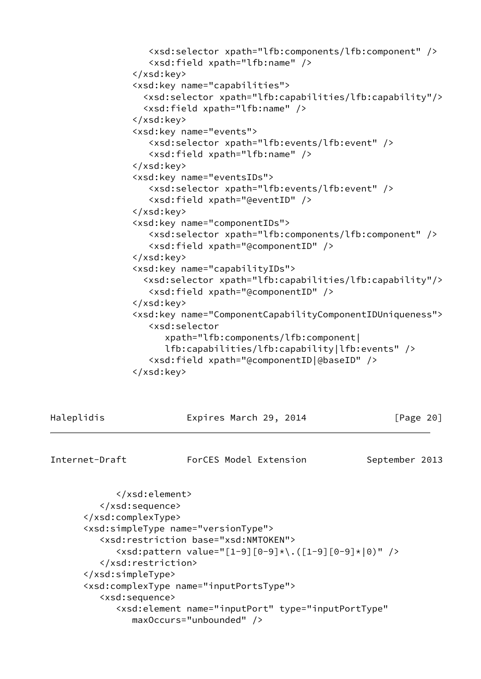```
 <xsd:selector xpath="lfb:components/lfb:component" />
    <xsd:field xpath="lfb:name" />
 </xsd:key>
 <xsd:key name="capabilities">
   <xsd:selector xpath="lfb:capabilities/lfb:capability"/>
   <xsd:field xpath="lfb:name" />
 </xsd:key>
 <xsd:key name="events">
    <xsd:selector xpath="lfb:events/lfb:event" />
    <xsd:field xpath="lfb:name" />
 </xsd:key>
 <xsd:key name="eventsIDs">
    <xsd:selector xpath="lfb:events/lfb:event" />
    <xsd:field xpath="@eventID" />
 </xsd:key>
 <xsd:key name="componentIDs">
    <xsd:selector xpath="lfb:components/lfb:component" />
    <xsd:field xpath="@componentID" />
 </xsd:key>
 <xsd:key name="capabilityIDs">
   <xsd:selector xpath="lfb:capabilities/lfb:capability"/>
    <xsd:field xpath="@componentID" />
 </xsd:key>
 <xsd:key name="ComponentCapabilityComponentIDUniqueness">
    <xsd:selector
       xpath="lfb:components/lfb:component|
       lfb:capabilities/lfb:capability|lfb:events" />
    <xsd:field xpath="@componentID|@baseID" />
 </xsd:key>
```

| Haleplidis     | Expires March 29, 2014                                        | $\lceil \text{Page } 20 \rceil$ |
|----------------|---------------------------------------------------------------|---------------------------------|
| Internet-Draft | ForCES Model Extension                                        | September 2013                  |
|                |                                                               |                                 |
|                |                                                               |                                 |
|                |                                                               |                                 |
|                | <xsd:simpletype name="versionType"></xsd:simpletype>          |                                 |
|                | <xsd:restriction base="xsd:NMTOKEN"></xsd:restriction>        |                                 |
|                | $\langle xsd:pattern value='$ [1-9][0-9]*\.([1-9][0-9]* 0)"/> |                                 |
|                |                                                               |                                 |

</xsd:simpleType>

```
 <xsd:complexType name="inputPortsType">
```

```
 <xsd:sequence>
```

```
 <xsd:element name="inputPort" type="inputPortType"
   maxOccurs="unbounded" />
```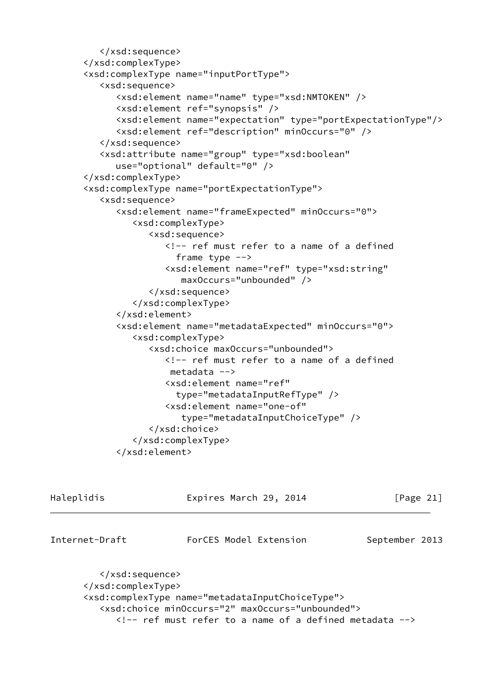```
 </xsd:sequence>
 </xsd:complexType>
 <xsd:complexType name="inputPortType">
    <xsd:sequence>
       <xsd:element name="name" type="xsd:NMTOKEN" />
       <xsd:element ref="synopsis" />
       <xsd:element name="expectation" type="portExpectationType"/>
       <xsd:element ref="description" minOccurs="0" />
    </xsd:sequence>
    <xsd:attribute name="group" type="xsd:boolean"
       use="optional" default="0" />
 </xsd:complexType>
 <xsd:complexType name="portExpectationType">
    <xsd:sequence>
       <xsd:element name="frameExpected" minOccurs="0">
          <xsd:complexType>
             <xsd:sequence>
                <!-- ref must refer to a name of a defined
                   frame type -->
                <xsd:element name="ref" type="xsd:string"
                    maxOccurs="unbounded" />
             </xsd:sequence>
          </xsd:complexType>
       </xsd:element>
       <xsd:element name="metadataExpected" minOccurs="0">
          <xsd:complexType>
             <xsd:choice maxOccurs="unbounded">
                <!-- ref must refer to a name of a defined
                 metadata -->
                <xsd:element name="ref"
                   type="metadataInputRefType" />
                <xsd:element name="one-of"
                    type="metadataInputChoiceType" />
             </xsd:choice>
          </xsd:complexType>
       </xsd:element>
```
Haleplidis Expires March 29, 2014 [Page 21] Internet-Draft ForCES Model Extension September 2013 </xsd:sequence> </xsd:complexType> <xsd:complexType name="metadataInputChoiceType"> <xsd:choice minOccurs="2" maxOccurs="unbounded"> <!-- ref must refer to a name of a defined metadata -->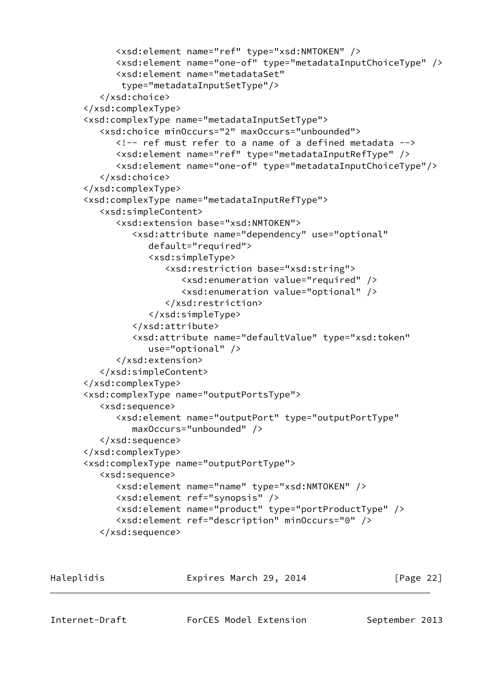```
 <xsd:element name="ref" type="xsd:NMTOKEN" />
       <xsd:element name="one-of" type="metadataInputChoiceType" />
       <xsd:element name="metadataSet"
        type="metadataInputSetType"/>
    </xsd:choice>
 </xsd:complexType>
 <xsd:complexType name="metadataInputSetType">
    <xsd:choice minOccurs="2" maxOccurs="unbounded">
       <!-- ref must refer to a name of a defined metadata -->
       <xsd:element name="ref" type="metadataInputRefType" />
       <xsd:element name="one-of" type="metadataInputChoiceType"/>
    </xsd:choice>
 </xsd:complexType>
 <xsd:complexType name="metadataInputRefType">
    <xsd:simpleContent>
       <xsd:extension base="xsd:NMTOKEN">
          <xsd:attribute name="dependency" use="optional"
             default="required">
             <xsd:simpleType>
                <xsd:restriction base="xsd:string">
                    <xsd:enumeration value="required" />
                   <xsd:enumeration value="optional" />
                </xsd:restriction>
             </xsd:simpleType>
          </xsd:attribute>
          <xsd:attribute name="defaultValue" type="xsd:token"
             use="optional" />
       </xsd:extension>
    </xsd:simpleContent>
 </xsd:complexType>
 <xsd:complexType name="outputPortsType">
    <xsd:sequence>
       <xsd:element name="outputPort" type="outputPortType"
          maxOccurs="unbounded" />
    </xsd:sequence>
 </xsd:complexType>
 <xsd:complexType name="outputPortType">
    <xsd:sequence>
       <xsd:element name="name" type="xsd:NMTOKEN" />
       <xsd:element ref="synopsis" />
       <xsd:element name="product" type="portProductType" />
       <xsd:element ref="description" minOccurs="0" />
    </xsd:sequence>
```
Haleplidis Expires March 29, 2014 [Page 22]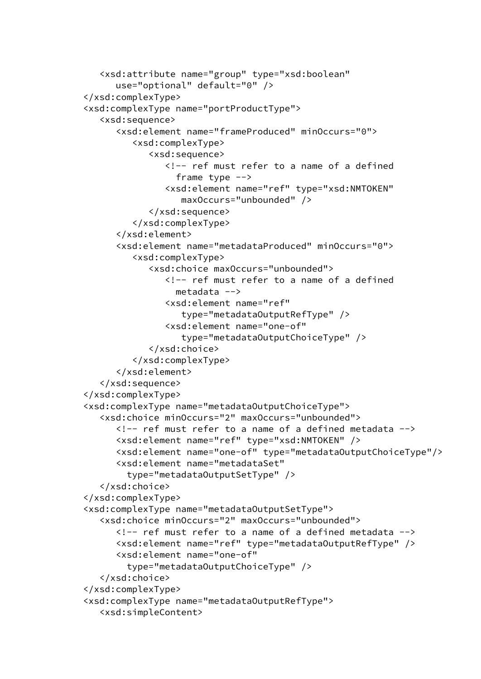```
 <xsd:attribute name="group" type="xsd:boolean"
       use="optional" default="0" />
 </xsd:complexType>
 <xsd:complexType name="portProductType">
    <xsd:sequence>
       <xsd:element name="frameProduced" minOccurs="0">
          <xsd:complexType>
             <xsd:sequence>
                <!-- ref must refer to a name of a defined
                  frame type \leftarrow <xsd:element name="ref" type="xsd:NMTOKEN"
                    maxOccurs="unbounded" />
             </xsd:sequence>
          </xsd:complexType>
       </xsd:element>
       <xsd:element name="metadataProduced" minOccurs="0">
          <xsd:complexType>
             <xsd:choice maxOccurs="unbounded">
                <!-- ref must refer to a name of a defined
                   metadata -->
                <xsd:element name="ref"
                    type="metadataOutputRefType" />
                <xsd:element name="one-of"
                    type="metadataOutputChoiceType" />
             </xsd:choice>
          </xsd:complexType>
       </xsd:element>
    </xsd:sequence>
 </xsd:complexType>
 <xsd:complexType name="metadataOutputChoiceType">
    <xsd:choice minOccurs="2" maxOccurs="unbounded">
      \langle!-- ref must refer to a name of a defined metadata -->
       <xsd:element name="ref" type="xsd:NMTOKEN" />
       <xsd:element name="one-of" type="metadataOutputChoiceType"/>
       <xsd:element name="metadataSet"
         type="metadataOutputSetType" />
    </xsd:choice>
 </xsd:complexType>
 <xsd:complexType name="metadataOutputSetType">
    <xsd:choice minOccurs="2" maxOccurs="unbounded">
      \langle!-- ref must refer to a name of a defined metadata -->
       <xsd:element name="ref" type="metadataOutputRefType" />
       <xsd:element name="one-of"
         type="metadataOutputChoiceType" />
    </xsd:choice>
 </xsd:complexType>
 <xsd:complexType name="metadataOutputRefType">
    <xsd:simpleContent>
```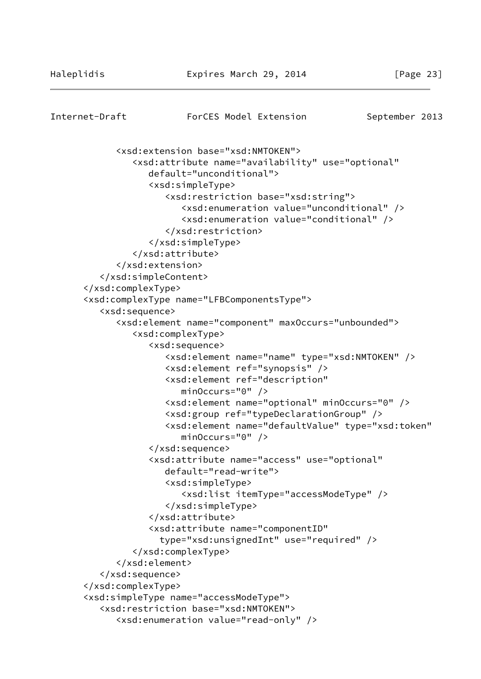```
Internet-Draft ForCES Model Extension September 2013
             <xsd:extension base="xsd:NMTOKEN">
                <xsd:attribute name="availability" use="optional"
                   default="unconditional">
                   <xsd:simpleType>
                      <xsd:restriction base="xsd:string">
                          <xsd:enumeration value="unconditional" />
                          <xsd:enumeration value="conditional" />
                      </xsd:restriction>
                   </xsd:simpleType>
                </xsd:attribute>
             </xsd:extension>
          </xsd:simpleContent>
       </xsd:complexType>
       <xsd:complexType name="LFBComponentsType">
          <xsd:sequence>
             <xsd:element name="component" maxOccurs="unbounded">
                <xsd:complexType>
                   <xsd:sequence>
                      <xsd:element name="name" type="xsd:NMTOKEN" />
                      <xsd:element ref="synopsis" />
                      <xsd:element ref="description"
                          minOccurs="0" />
                      <xsd:element name="optional" minOccurs="0" />
                      <xsd:group ref="typeDeclarationGroup" />
                      <xsd:element name="defaultValue" type="xsd:token"
                         minOccurs="0" />
                   </xsd:sequence>
                   <xsd:attribute name="access" use="optional"
                      default="read-write">
                      <xsd:simpleType>
                          <xsd:list itemType="accessModeType" />
                      </xsd:simpleType>
                   </xsd:attribute>
                   <xsd:attribute name="componentID"
                     type="xsd:unsignedInt" use="required" />
                </xsd:complexType>
             </xsd:element>
          </xsd:sequence>
       </xsd:complexType>
       <xsd:simpleType name="accessModeType">
          <xsd:restriction base="xsd:NMTOKEN">
             <xsd:enumeration value="read-only" />
```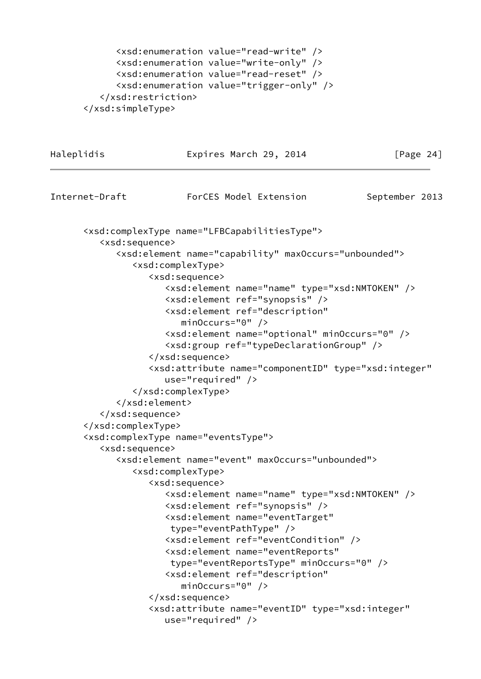```
 <xsd:enumeration value="read-write" />
       <xsd:enumeration value="write-only" />
       <xsd:enumeration value="read-reset" />
       <xsd:enumeration value="trigger-only" />
    </xsd:restriction>
 </xsd:simpleType>
```
Haleplidis **Expires March 29, 2014** [Page 24] Internet-Draft ForCES Model Extension September 2013 <xsd:complexType name="LFBCapabilitiesType"> <xsd:sequence> <xsd:element name="capability" maxOccurs="unbounded"> <xsd:complexType> <xsd:sequence> <xsd:element name="name" type="xsd:NMTOKEN" /> <xsd:element ref="synopsis" /> <xsd:element ref="description" minOccurs="0" /> <xsd:element name="optional" minOccurs="0" /> <xsd:group ref="typeDeclarationGroup" /> </xsd:sequence> <xsd:attribute name="componentID" type="xsd:integer" use="required" /> </xsd:complexType> </xsd:element> </xsd:sequence> </xsd:complexType> <xsd:complexType name="eventsType"> <xsd:sequence> <xsd:element name="event" maxOccurs="unbounded"> <xsd:complexType> <xsd:sequence> <xsd:element name="name" type="xsd:NMTOKEN" /> <xsd:element ref="synopsis" /> <xsd:element name="eventTarget" type="eventPathType" /> <xsd:element ref="eventCondition" /> <xsd:element name="eventReports" type="eventReportsType" minOccurs="0" /> <xsd:element ref="description" minOccurs="0" /> </xsd:sequence> <xsd:attribute name="eventID" type="xsd:integer" use="required" />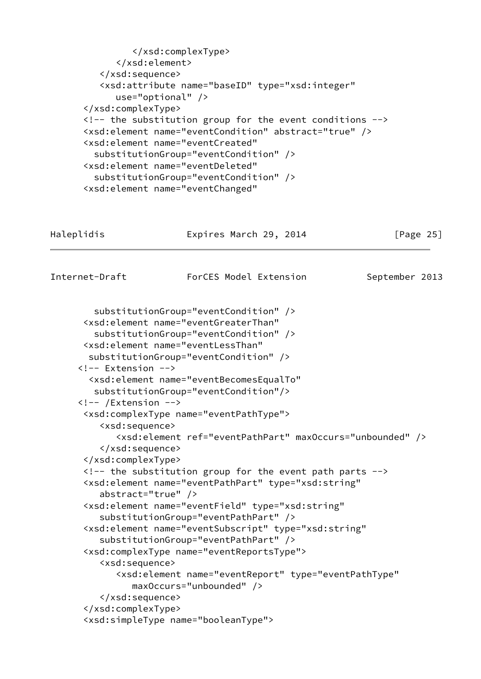```
 </xsd:complexType>
             </xsd:element>
          </xsd:sequence>
          <xsd:attribute name="baseID" type="xsd:integer"
             use="optional" />
       </xsd:complexType>
      \langle!-- the substitution group for the event conditions -->
       <xsd:element name="eventCondition" abstract="true" />
       <xsd:element name="eventCreated"
         substitutionGroup="eventCondition" />
       <xsd:element name="eventDeleted"
         substitutionGroup="eventCondition" />
       <xsd:element name="eventChanged"
Haleplidis Expires March 29, 2014 [Page 25]
Internet-Draft ForCES Model Extension September 2013
         substitutionGroup="eventCondition" />
       <xsd:element name="eventGreaterThan"
         substitutionGroup="eventCondition" />
       <xsd:element name="eventLessThan"
        substitutionGroup="eventCondition" />
      <!-- Extension -->
        <xsd:element name="eventBecomesEqualTo"
         substitutionGroup="eventCondition"/>
      <!-- /Extension -->
       <xsd:complexType name="eventPathType">
          <xsd:sequence>
             <xsd:element ref="eventPathPart" maxOccurs="unbounded" />
          </xsd:sequence>
       </xsd:complexType>
      \langle!-- the substitution group for the event path parts -->
       <xsd:element name="eventPathPart" type="xsd:string"
          abstract="true" />
       <xsd:element name="eventField" type="xsd:string"
          substitutionGroup="eventPathPart" />
       <xsd:element name="eventSubscript" type="xsd:string"
          substitutionGroup="eventPathPart" />
       <xsd:complexType name="eventReportsType">
          <xsd:sequence>
             <xsd:element name="eventReport" type="eventPathType"
                maxOccurs="unbounded" />
          </xsd:sequence>
       </xsd:complexType>
       <xsd:simpleType name="booleanType">
```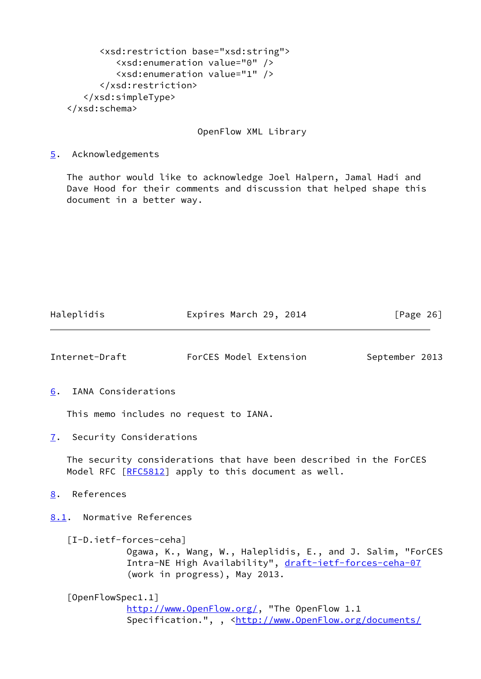```
 <xsd:restriction base="xsd:string">
          <xsd:enumeration value="0" />
          <xsd:enumeration value="1" />
       </xsd:restriction>
    </xsd:simpleType>
 </xsd:schema>
```
OpenFlow XML Library

<span id="page-29-0"></span>[5](#page-29-0). Acknowledgements

 The author would like to acknowledge Joel Halpern, Jamal Hadi and Dave Hood for their comments and discussion that helped shape this document in a better way.

Haleplidis **Expires March 29, 2014** [Page 26]

<span id="page-29-7"></span><span id="page-29-6"></span><span id="page-29-5"></span><span id="page-29-4"></span><span id="page-29-3"></span><span id="page-29-2"></span><span id="page-29-1"></span>

| Internet-Draft             |                        | ForCES Model Extension                                                                                                                                | September 2013 |
|----------------------------|------------------------|-------------------------------------------------------------------------------------------------------------------------------------------------------|----------------|
| 6.                         | IANA Considerations    |                                                                                                                                                       |                |
|                            |                        | This memo includes no request to IANA.                                                                                                                |                |
| 7. Security Considerations |                        |                                                                                                                                                       |                |
|                            |                        | The security considerations that have been described in the ForCES<br>Model RFC [RFC5812] apply to this document as well.                             |                |
| References<br>8.           |                        |                                                                                                                                                       |                |
| 8.1. Normative References  |                        |                                                                                                                                                       |                |
|                            | [I-D.ietf-forces-ceha] | Ogawa, K., Wang, W., Haleplidis, E., and J. Salim, "ForCES<br>Intra-NE High Availability", draft-ietf-forces-ceha-07<br>(work in progress), May 2013. |                |
| [OpenFlowSpec1.1]          |                        | http://www.OpenFlow.org/, "The OpenFlow 1.1<br>Specification.", , <http: <="" documents="" td="" www.openflow.org=""><td></td></http:>                |                |